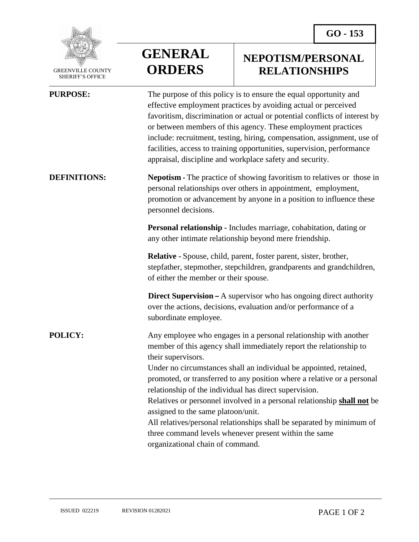

 GREENVILLE COUNTY SHERIFF'S OFFICE

## **GENERAL ORDERS**

## **NEPOTISM/PERSONAL RELATIONSHIPS**

| <b>PURPOSE:</b>     | The purpose of this policy is to ensure the equal opportunity and<br>effective employment practices by avoiding actual or perceived<br>favoritism, discrimination or actual or potential conflicts of interest by<br>or between members of this agency. These employment practices<br>include: recruitment, testing, hiring, compensation, assignment, use of<br>facilities, access to training opportunities, supervision, performance<br>appraisal, discipline and workplace safety and security. |
|---------------------|-----------------------------------------------------------------------------------------------------------------------------------------------------------------------------------------------------------------------------------------------------------------------------------------------------------------------------------------------------------------------------------------------------------------------------------------------------------------------------------------------------|
| <b>DEFINITIONS:</b> | <b>Nepotism - The practice of showing favoritism to relatives or those in</b><br>personal relationships over others in appointment, employment,<br>promotion or advancement by anyone in a position to influence these<br>personnel decisions.                                                                                                                                                                                                                                                      |
|                     | Personal relationship - Includes marriage, cohabitation, dating or<br>any other intimate relationship beyond mere friendship.                                                                                                                                                                                                                                                                                                                                                                       |
|                     | <b>Relative -</b> Spouse, child, parent, foster parent, sister, brother,<br>stepfather, stepmother, stepchildren, grandparents and grandchildren,<br>of either the member or their spouse.                                                                                                                                                                                                                                                                                                          |
|                     | <b>Direct Supervision –</b> A supervisor who has ongoing direct authority<br>over the actions, decisions, evaluation and/or performance of a<br>subordinate employee.                                                                                                                                                                                                                                                                                                                               |
| <b>POLICY:</b>      | Any employee who engages in a personal relationship with another<br>member of this agency shall immediately report the relationship to<br>their supervisors.                                                                                                                                                                                                                                                                                                                                        |
|                     | Under no circumstances shall an individual be appointed, retained,<br>promoted, or transferred to any position where a relative or a personal<br>relationship of the individual has direct supervision.                                                                                                                                                                                                                                                                                             |
|                     | Relatives or personnel involved in a personal relationship shall not be<br>assigned to the same platoon/unit.                                                                                                                                                                                                                                                                                                                                                                                       |
|                     | All relatives/personal relationships shall be separated by minimum of<br>three command levels whenever present within the same                                                                                                                                                                                                                                                                                                                                                                      |
|                     | organizational chain of command.                                                                                                                                                                                                                                                                                                                                                                                                                                                                    |